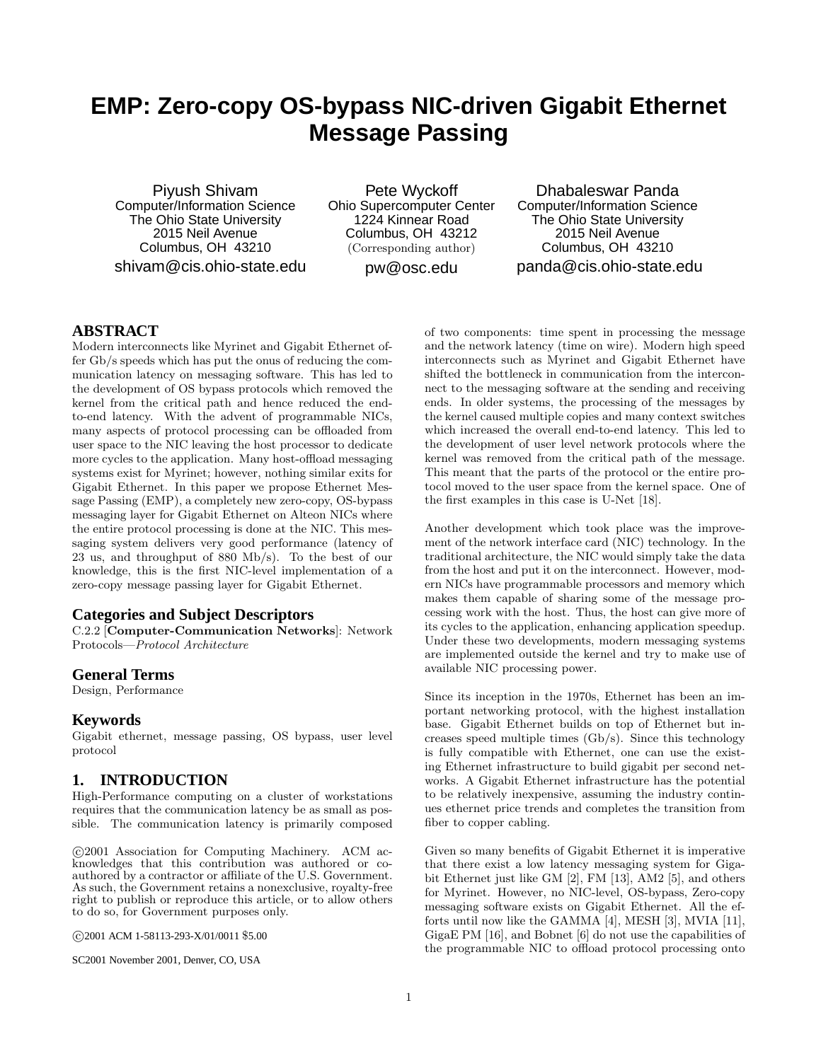# **EMP: Zero-copy OS-bypass NIC-driven Gigabit Ethernet Message Passing**

Piyush Shivam Computer/Information Science The Ohio State University 2015 Neil Avenue Columbus, OH 43210 shivam@cis.ohio-state.edu

Pete Wyckoff Ohio Supercomputer Center 1224 Kinnear Road Columbus, OH 43212 (Corresponding author)

pw@osc.edu

Dhabaleswar Panda Computer/Information Science The Ohio State University 2015 Neil Avenue Columbus, OH 43210 panda@cis.ohio-state.edu

## **ABSTRACT**

Modern interconnects like Myrinet and Gigabit Ethernet offer Gb/s speeds which has put the onus of reducing the communication latency on messaging software. This has led to the development of OS bypass protocols which removed the kernel from the critical path and hence reduced the endto-end latency. With the advent of programmable NICs, many aspects of protocol processing can be offloaded from user space to the NIC leaving the host processor to dedicate more cycles to the application. Many host-offload messaging systems exist for Myrinet; however, nothing similar exits for Gigabit Ethernet. In this paper we propose Ethernet Message Passing (EMP), a completely new zero-copy, OS-bypass messaging layer for Gigabit Ethernet on Alteon NICs where the entire protocol processing is done at the NIC. This messaging system delivers very good performance (latency of 23 us, and throughput of 880 Mb/s). To the best of our knowledge, this is the first NIC-level implementation of a zero-copy message passing layer for Gigabit Ethernet.

#### **Categories and Subject Descriptors**

C.2.2 [Computer-Communication Networks]: Network Protocols—Protocol Architecture

#### **General Terms**

Design, Performance

## **Keywords**

Gigabit ethernet, message passing, OS bypass, user level protocol

#### **1. INTRODUCTION**

High-Performance computing on a cluster of workstations requires that the communication latency be as small as possible. The communication latency is primarily composed

 c 2001 Association for Computing Machinery. ACM acknowledges that this contribution was authored or coauthored by a contractor or affiliate of the U.S. Government. As such, the Government retains a nonexclusive, royalty-free right to publish or reproduce this article, or to allow others to do so, for Government purposes only.

c 2001 ACM 1-58113-293-X/01/0011 \$5.00

SC2001 November 2001, Denver, CO, USA

of two components: time spent in processing the message and the network latency (time on wire). Modern high speed interconnects such as Myrinet and Gigabit Ethernet have shifted the bottleneck in communication from the interconnect to the messaging software at the sending and receiving ends. In older systems, the processing of the messages by the kernel caused multiple copies and many context switches which increased the overall end-to-end latency. This led to the development of user level network protocols where the kernel was removed from the critical path of the message. This meant that the parts of the protocol or the entire protocol moved to the user space from the kernel space. One of the first examples in this case is U-Net [18].

Another development which took place was the improvement of the network interface card (NIC) technology. In the traditional architecture, the NIC would simply take the data from the host and put it on the interconnect. However, modern NICs have programmable processors and memory which makes them capable of sharing some of the message processing work with the host. Thus, the host can give more of its cycles to the application, enhancing application speedup. Under these two developments, modern messaging systems are implemented outside the kernel and try to make use of available NIC processing power.

Since its inception in the 1970s, Ethernet has been an important networking protocol, with the highest installation base. Gigabit Ethernet builds on top of Ethernet but increases speed multiple times (Gb/s). Since this technology is fully compatible with Ethernet, one can use the existing Ethernet infrastructure to build gigabit per second networks. A Gigabit Ethernet infrastructure has the potential to be relatively inexpensive, assuming the industry continues ethernet price trends and completes the transition from fiber to copper cabling.

Given so many benefits of Gigabit Ethernet it is imperative that there exist a low latency messaging system for Gigabit Ethernet just like GM [2], FM [13], AM2 [5], and others for Myrinet. However, no NIC-level, OS-bypass, Zero-copy messaging software exists on Gigabit Ethernet. All the efforts until now like the GAMMA [4], MESH [3], MVIA [11], GigaE PM [16], and Bobnet [6] do not use the capabilities of the programmable NIC to offload protocol processing onto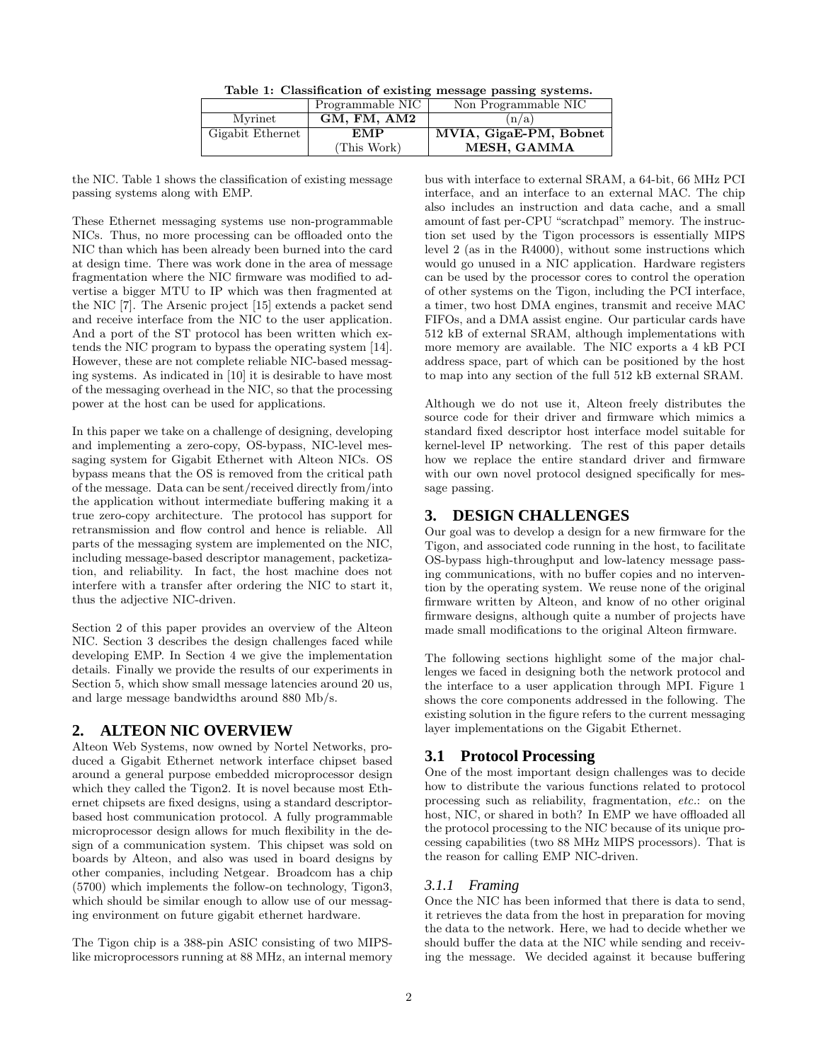Table 1: Classification of existing message passing systems.

|                  | Programmable NIC | Non Programmable NIC   |
|------------------|------------------|------------------------|
| Myrinet          | GM, FM, AM2      | (n/a)                  |
| Gigabit Ethernet | EMP              | MVIA, GigaE-PM, Bobnet |
|                  | (This Work)      | MESH, GAMMA            |

the NIC. Table 1 shows the classification of existing message passing systems along with EMP.

These Ethernet messaging systems use non-programmable NICs. Thus, no more processing can be offloaded onto the NIC than which has been already been burned into the card at design time. There was work done in the area of message fragmentation where the NIC firmware was modified to advertise a bigger MTU to IP which was then fragmented at the NIC [7]. The Arsenic project [15] extends a packet send and receive interface from the NIC to the user application. And a port of the ST protocol has been written which extends the NIC program to bypass the operating system [14]. However, these are not complete reliable NIC-based messaging systems. As indicated in [10] it is desirable to have most of the messaging overhead in the NIC, so that the processing power at the host can be used for applications.

In this paper we take on a challenge of designing, developing and implementing a zero-copy, OS-bypass, NIC-level messaging system for Gigabit Ethernet with Alteon NICs. OS bypass means that the OS is removed from the critical path of the message. Data can be sent/received directly from/into the application without intermediate buffering making it a true zero-copy architecture. The protocol has support for retransmission and flow control and hence is reliable. All parts of the messaging system are implemented on the NIC, including message-based descriptor management, packetization, and reliability. In fact, the host machine does not interfere with a transfer after ordering the NIC to start it, thus the adjective NIC-driven.

Section 2 of this paper provides an overview of the Alteon NIC. Section 3 describes the design challenges faced while developing EMP. In Section 4 we give the implementation details. Finally we provide the results of our experiments in Section 5, which show small message latencies around 20 us, and large message bandwidths around 880 Mb/s.

## **2. ALTEON NIC OVERVIEW**

Alteon Web Systems, now owned by Nortel Networks, produced a Gigabit Ethernet network interface chipset based around a general purpose embedded microprocessor design which they called the Tigon2. It is novel because most Ethernet chipsets are fixed designs, using a standard descriptorbased host communication protocol. A fully programmable microprocessor design allows for much flexibility in the design of a communication system. This chipset was sold on boards by Alteon, and also was used in board designs by other companies, including Netgear. Broadcom has a chip (5700) which implements the follow-on technology, Tigon3, which should be similar enough to allow use of our messaging environment on future gigabit ethernet hardware.

The Tigon chip is a 388-pin ASIC consisting of two MIPSlike microprocessors running at 88 MHz, an internal memory bus with interface to external SRAM, a 64-bit, 66 MHz PCI interface, and an interface to an external MAC. The chip also includes an instruction and data cache, and a small amount of fast per-CPU "scratchpad" memory. The instruction set used by the Tigon processors is essentially MIPS level 2 (as in the R4000), without some instructions which would go unused in a NIC application. Hardware registers can be used by the processor cores to control the operation of other systems on the Tigon, including the PCI interface, a timer, two host DMA engines, transmit and receive MAC FIFOs, and a DMA assist engine. Our particular cards have 512 kB of external SRAM, although implementations with more memory are available. The NIC exports a 4 kB PCI address space, part of which can be positioned by the host to map into any section of the full 512 kB external SRAM.

Although we do not use it, Alteon freely distributes the source code for their driver and firmware which mimics a standard fixed descriptor host interface model suitable for kernel-level IP networking. The rest of this paper details how we replace the entire standard driver and firmware with our own novel protocol designed specifically for message passing.

## **3. DESIGN CHALLENGES**

Our goal was to develop a design for a new firmware for the Tigon, and associated code running in the host, to facilitate OS-bypass high-throughput and low-latency message passing communications, with no buffer copies and no intervention by the operating system. We reuse none of the original firmware written by Alteon, and know of no other original firmware designs, although quite a number of projects have made small modifications to the original Alteon firmware.

The following sections highlight some of the major challenges we faced in designing both the network protocol and the interface to a user application through MPI. Figure 1 shows the core components addressed in the following. The existing solution in the figure refers to the current messaging layer implementations on the Gigabit Ethernet.

## **3.1 Protocol Processing**

One of the most important design challenges was to decide how to distribute the various functions related to protocol processing such as reliability, fragmentation, etc.: on the host, NIC, or shared in both? In EMP we have offloaded all the protocol processing to the NIC because of its unique processing capabilities (two 88 MHz MIPS processors). That is the reason for calling EMP NIC-driven.

#### *3.1.1 Framing*

Once the NIC has been informed that there is data to send, it retrieves the data from the host in preparation for moving the data to the network. Here, we had to decide whether we should buffer the data at the NIC while sending and receiving the message. We decided against it because buffering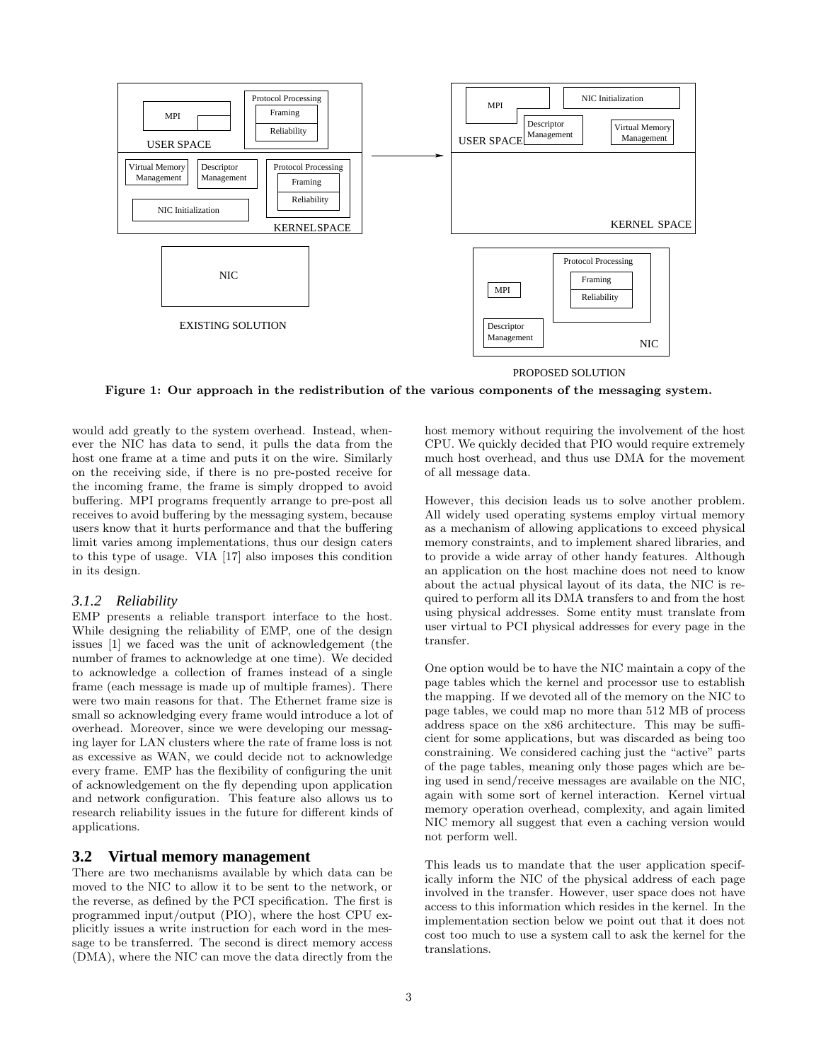

Figure 1: Our approach in the redistribution of the various components of the messaging system.

would add greatly to the system overhead. Instead, whenever the NIC has data to send, it pulls the data from the host one frame at a time and puts it on the wire. Similarly on the receiving side, if there is no pre-posted receive for the incoming frame, the frame is simply dropped to avoid buffering. MPI programs frequently arrange to pre-post all receives to avoid buffering by the messaging system, because users know that it hurts performance and that the buffering limit varies among implementations, thus our design caters to this type of usage. VIA [17] also imposes this condition in its design.

## *3.1.2 Reliability*

EMP presents a reliable transport interface to the host. While designing the reliability of EMP, one of the design issues [1] we faced was the unit of acknowledgement (the number of frames to acknowledge at one time). We decided to acknowledge a collection of frames instead of a single frame (each message is made up of multiple frames). There were two main reasons for that. The Ethernet frame size is small so acknowledging every frame would introduce a lot of overhead. Moreover, since we were developing our messaging layer for LAN clusters where the rate of frame loss is not as excessive as WAN, we could decide not to acknowledge every frame. EMP has the flexibility of configuring the unit of acknowledgement on the fly depending upon application and network configuration. This feature also allows us to research reliability issues in the future for different kinds of applications.

#### **3.2 Virtual memory management**

There are two mechanisms available by which data can be moved to the NIC to allow it to be sent to the network, or the reverse, as defined by the PCI specification. The first is programmed input/output (PIO), where the host CPU explicitly issues a write instruction for each word in the message to be transferred. The second is direct memory access (DMA), where the NIC can move the data directly from the host memory without requiring the involvement of the host CPU. We quickly decided that PIO would require extremely much host overhead, and thus use DMA for the movement of all message data.

However, this decision leads us to solve another problem. All widely used operating systems employ virtual memory as a mechanism of allowing applications to exceed physical memory constraints, and to implement shared libraries, and to provide a wide array of other handy features. Although an application on the host machine does not need to know about the actual physical layout of its data, the NIC is required to perform all its DMA transfers to and from the host using physical addresses. Some entity must translate from user virtual to PCI physical addresses for every page in the transfer.

One option would be to have the NIC maintain a copy of the page tables which the kernel and processor use to establish the mapping. If we devoted all of the memory on the NIC to page tables, we could map no more than 512 MB of process address space on the x86 architecture. This may be sufficient for some applications, but was discarded as being too constraining. We considered caching just the "active" parts of the page tables, meaning only those pages which are being used in send/receive messages are available on the NIC, again with some sort of kernel interaction. Kernel virtual memory operation overhead, complexity, and again limited NIC memory all suggest that even a caching version would not perform well.

This leads us to mandate that the user application specifically inform the NIC of the physical address of each page involved in the transfer. However, user space does not have access to this information which resides in the kernel. In the implementation section below we point out that it does not cost too much to use a system call to ask the kernel for the translations.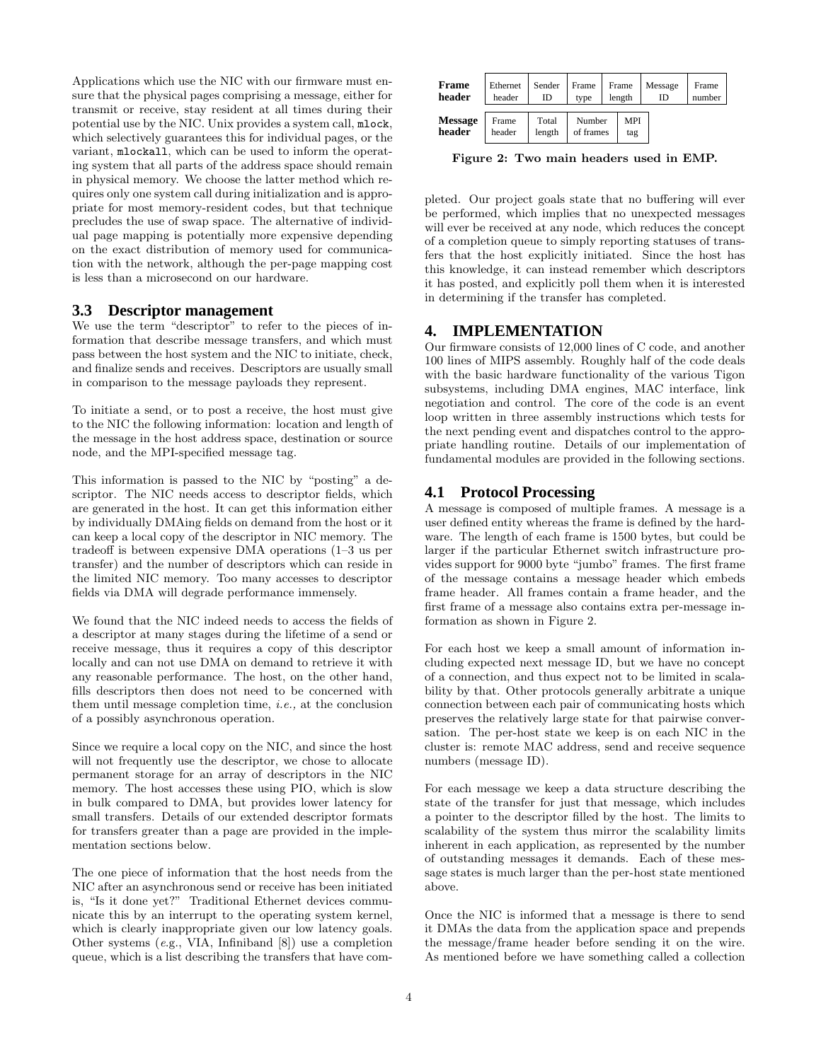Applications which use the NIC with our firmware must ensure that the physical pages comprising a message, either for transmit or receive, stay resident at all times during their potential use by the NIC. Unix provides a system call, mlock, which selectively guarantees this for individual pages, or the variant, mlockall, which can be used to inform the operating system that all parts of the address space should remain in physical memory. We choose the latter method which requires only one system call during initialization and is appropriate for most memory-resident codes, but that technique precludes the use of swap space. The alternative of individual page mapping is potentially more expensive depending on the exact distribution of memory used for communication with the network, although the per-page mapping cost is less than a microsecond on our hardware.

#### **3.3 Descriptor management**

We use the term "descriptor" to refer to the pieces of information that describe message transfers, and which must pass between the host system and the NIC to initiate, check, and finalize sends and receives. Descriptors are usually small in comparison to the message payloads they represent.

To initiate a send, or to post a receive, the host must give to the NIC the following information: location and length of the message in the host address space, destination or source node, and the MPI-specified message tag.

This information is passed to the NIC by "posting" a descriptor. The NIC needs access to descriptor fields, which are generated in the host. It can get this information either by individually DMAing fields on demand from the host or it can keep a local copy of the descriptor in NIC memory. The tradeoff is between expensive DMA operations (1–3 us per transfer) and the number of descriptors which can reside in the limited NIC memory. Too many accesses to descriptor fields via DMA will degrade performance immensely.

We found that the NIC indeed needs to access the fields of a descriptor at many stages during the lifetime of a send or receive message, thus it requires a copy of this descriptor locally and can not use DMA on demand to retrieve it with any reasonable performance. The host, on the other hand, fills descriptors then does not need to be concerned with them until message completion time,  $i.e.,$  at the conclusion of a possibly asynchronous operation.

Since we require a local copy on the NIC, and since the host will not frequently use the descriptor, we chose to allocate permanent storage for an array of descriptors in the NIC memory. The host accesses these using PIO, which is slow in bulk compared to DMA, but provides lower latency for small transfers. Details of our extended descriptor formats for transfers greater than a page are provided in the implementation sections below.

The one piece of information that the host needs from the NIC after an asynchronous send or receive has been initiated is, "Is it done yet?" Traditional Ethernet devices communicate this by an interrupt to the operating system kernel, which is clearly inappropriate given our low latency goals. Other systems (e.g., VIA, Infiniband [8]) use a completion queue, which is a list describing the transfers that have com-

| <b>Frame</b>      | Ethernet        | Sender          | Frame               | Frame             | Message | Frame  |
|-------------------|-----------------|-----------------|---------------------|-------------------|---------|--------|
| header            | header          | ID              | type                | length            | ID      | number |
| Message<br>header | Frame<br>header | Total<br>length | Number<br>of frames | <b>MPI</b><br>tag |         |        |

Figure 2: Two main headers used in EMP.

pleted. Our project goals state that no buffering will ever be performed, which implies that no unexpected messages will ever be received at any node, which reduces the concept of a completion queue to simply reporting statuses of transfers that the host explicitly initiated. Since the host has this knowledge, it can instead remember which descriptors it has posted, and explicitly poll them when it is interested in determining if the transfer has completed.

## **4. IMPLEMENTATION**

Our firmware consists of 12,000 lines of C code, and another 100 lines of MIPS assembly. Roughly half of the code deals with the basic hardware functionality of the various Tigon subsystems, including DMA engines, MAC interface, link negotiation and control. The core of the code is an event loop written in three assembly instructions which tests for the next pending event and dispatches control to the appropriate handling routine. Details of our implementation of fundamental modules are provided in the following sections.

## **4.1 Protocol Processing**

A message is composed of multiple frames. A message is a user defined entity whereas the frame is defined by the hardware. The length of each frame is 1500 bytes, but could be larger if the particular Ethernet switch infrastructure provides support for 9000 byte "jumbo" frames. The first frame of the message contains a message header which embeds frame header. All frames contain a frame header, and the first frame of a message also contains extra per-message information as shown in Figure 2.

For each host we keep a small amount of information including expected next message ID, but we have no concept of a connection, and thus expect not to be limited in scalability by that. Other protocols generally arbitrate a unique connection between each pair of communicating hosts which preserves the relatively large state for that pairwise conversation. The per-host state we keep is on each NIC in the cluster is: remote MAC address, send and receive sequence numbers (message ID).

For each message we keep a data structure describing the state of the transfer for just that message, which includes a pointer to the descriptor filled by the host. The limits to scalability of the system thus mirror the scalability limits inherent in each application, as represented by the number of outstanding messages it demands. Each of these message states is much larger than the per-host state mentioned above.

Once the NIC is informed that a message is there to send it DMAs the data from the application space and prepends the message/frame header before sending it on the wire. As mentioned before we have something called a collection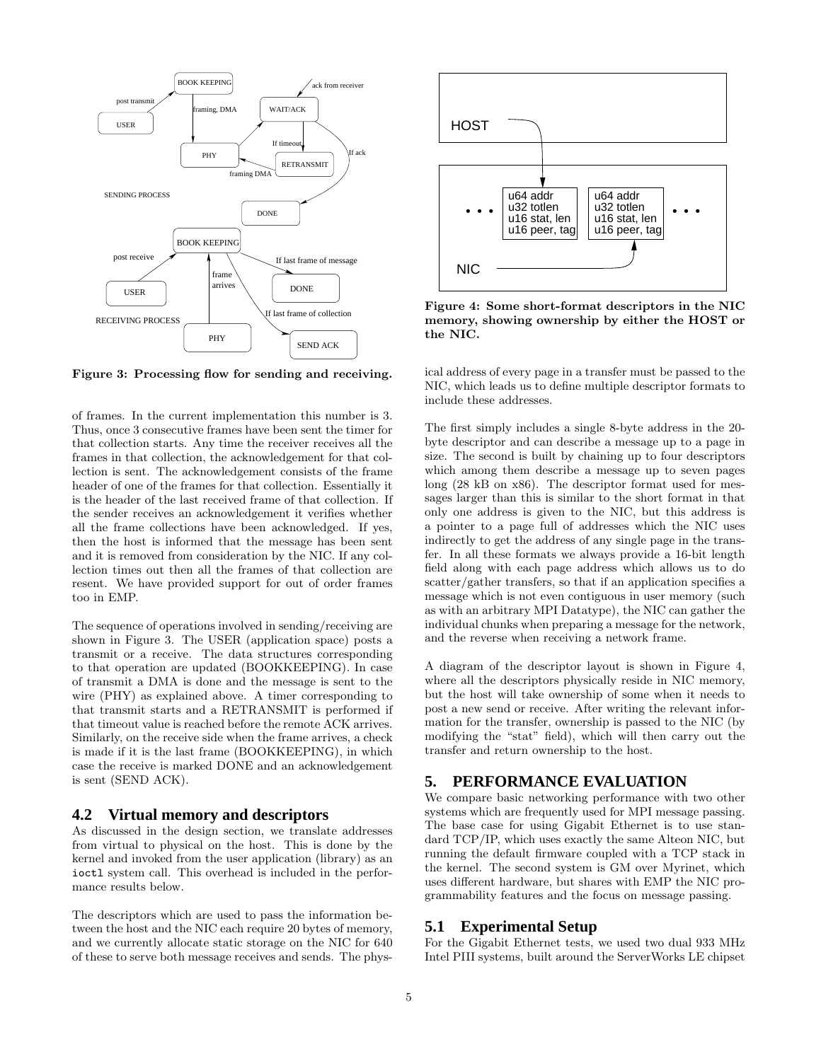

Figure 3: Processing flow for sending and receiving.

of frames. In the current implementation this number is 3. Thus, once 3 consecutive frames have been sent the timer for that collection starts. Any time the receiver receives all the frames in that collection, the acknowledgement for that collection is sent. The acknowledgement consists of the frame header of one of the frames for that collection. Essentially it is the header of the last received frame of that collection. If the sender receives an acknowledgement it verifies whether all the frame collections have been acknowledged. If yes, then the host is informed that the message has been sent and it is removed from consideration by the NIC. If any collection times out then all the frames of that collection are resent. We have provided support for out of order frames too in EMP. **EXERC PROXIMETE CONSULTER CONSULTER SET USE ASSEMBATE CONSULTER SET USE ARE CONSULTER AN ARTIST (CONSULTER SET USE ARE CONSULTER SET USE ARE CONSULTER THE SET USE OF THE CONSULTER CONSULTER THE CONSULTER CONSULTER THE CO** 

The sequence of operations involved in sending/receiving are shown in Figure 3. The USER (application space) posts a transmit or a receive. The data structures corresponding to that operation are updated (BOOKKEEPING). In case of transmit a DMA is done and the message is sent to the wire (PHY) as explained above. A timer corresponding to that transmit starts and a RETRANSMIT is performed if that timeout value is reached before the remote ACK arrives. Similarly, on the receive side when the frame arrives, a check is made if it is the last frame (BOOKKEEPING), in which case the receive is marked DONE and an acknowledgement is sent (SEND ACK).

#### **4.2 Virtual memory and descriptors**

As discussed in the design section, we translate addresses from virtual to physical on the host. This is done by the kernel and invoked from the user application (library) as an ioctl system call. This overhead is included in the performance results below.

The descriptors which are used to pass the information between the host and the NIC each require 20 bytes of memory, and we currently allocate static storage on the NIC for 640



Figure 4: Some short-format descriptors in the NIC memory, showing ownership by either the HOST or the NIC.

ical address of every page in a transfer must be passed to the NIC, which leads us to define multiple descriptor formats to include these addresses.

The first simply includes a single 8-byte address in the 20 byte descriptor and can describe a message up to a page in size. The second is built by chaining up to four descriptors which among them describe a message up to seven pages long (28 kB on x86). The descriptor format used for messages larger than this is similar to the short format in that only one address is given to the NIC, but this address is a pointer to a page full of addresses which the NIC uses indirectly to get the address of any single page in the transfer. In all these formats we always provide a 16-bit length field along with each page address which allows us to do scatter/gather transfers, so that if an application specifies a message which is not even contiguous in user memory (such as with an arbitrary MPI Datatype), the NIC can gather the individual chunks when preparing a message for the network, and the reverse when receiving a network frame.

A diagram of the descriptor layout is shown in Figure 4, where all the descriptors physically reside in NIC memory, but the host will take ownership of some when it needs to post a new send or receive. After writing the relevant information for the transfer, ownership is passed to the NIC (by modifying the "stat" field), which will then carry out the transfer and return ownership to the host.

## **5. PERFORMANCE EVALUATION**

We compare basic networking performance with two other systems which are frequently used for MPI message passing. The base case for using Gigabit Ethernet is to use standard TCP/IP, which uses exactly the same Alteon NIC, but running the default firmware coupled with a TCP stack in the kernel. The second system is GM over Myrinet, which uses different hardware, but shares with EMP the NIC programmability features and the focus on message passing.

## **5.1 Experimental Setup**

For the Gigabit Ethernet tests, we used two dual 933 MHz Intel PIII systems, built around the ServerWorks LE chipset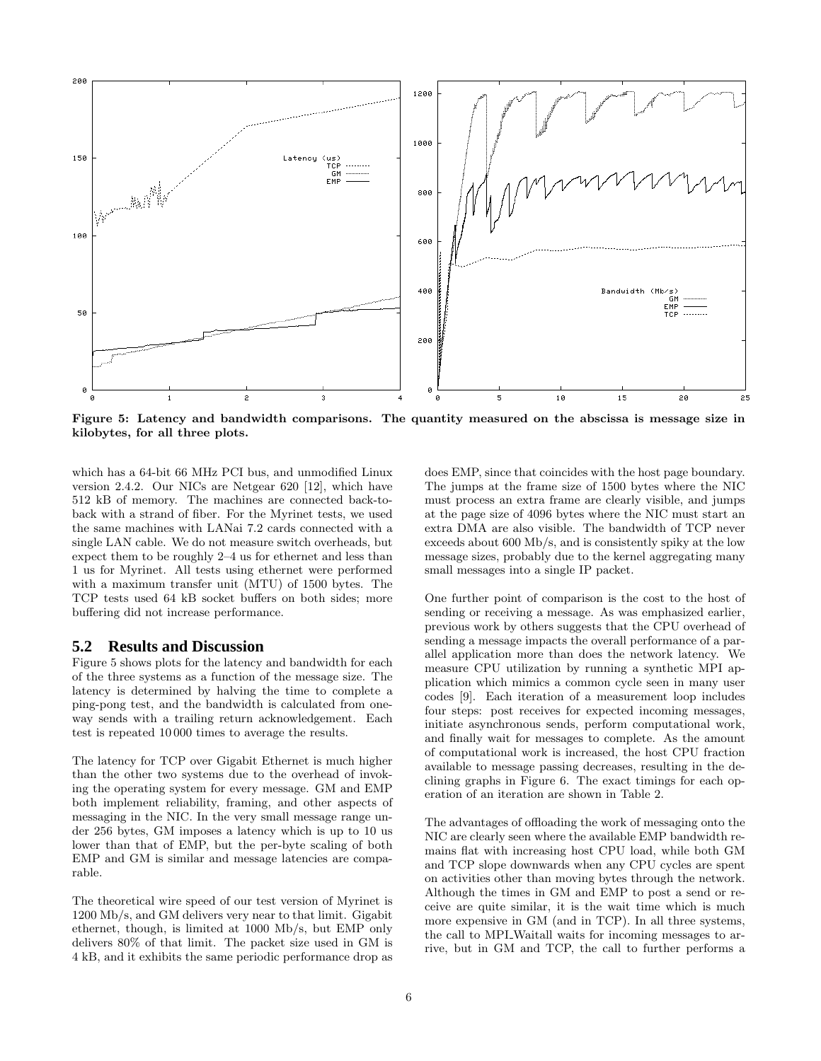

Figure 5: Latency and bandwidth comparisons. The quantity measured on the abscissa is message size in kilobytes, for all three plots.

which has a 64-bit 66 MHz PCI bus, and unmodified Linux version 2.4.2. Our NICs are Netgear 620 [12], which have 512 kB of memory. The machines are connected back-toback with a strand of fiber. For the Myrinet tests, we used the same machines with LANai 7.2 cards connected with a single LAN cable. We do not measure switch overheads, but expect them to be roughly 2–4 us for ethernet and less than 1 us for Myrinet. All tests using ethernet were performed with a maximum transfer unit (MTU) of 1500 bytes. The TCP tests used 64 kB socket buffers on both sides; more buffering did not increase performance.

#### **5.2 Results and Discussion**

Figure 5 shows plots for the latency and bandwidth for each of the three systems as a function of the message size. The latency is determined by halving the time to complete a ping-pong test, and the bandwidth is calculated from oneway sends with a trailing return acknowledgement. Each test is repeated 10 000 times to average the results.

The latency for TCP over Gigabit Ethernet is much higher than the other two systems due to the overhead of invoking the operating system for every message. GM and EMP both implement reliability, framing, and other aspects of messaging in the NIC. In the very small message range under 256 bytes, GM imposes a latency which is up to 10 us lower than that of EMP, but the per-byte scaling of both EMP and GM is similar and message latencies are comparable.

The theoretical wire speed of our test version of Myrinet is 1200 Mb/s, and GM delivers very near to that limit. Gigabit ethernet, though, is limited at 1000 Mb/s, but EMP only delivers 80% of that limit. The packet size used in GM is 4 kB, and it exhibits the same periodic performance drop as

does EMP, since that coincides with the host page boundary. The jumps at the frame size of 1500 bytes where the NIC must process an extra frame are clearly visible, and jumps at the page size of 4096 bytes where the NIC must start an extra DMA are also visible. The bandwidth of TCP never exceeds about 600 Mb/s, and is consistently spiky at the low message sizes, probably due to the kernel aggregating many small messages into a single IP packet.

One further point of comparison is the cost to the host of sending or receiving a message. As was emphasized earlier, previous work by others suggests that the CPU overhead of sending a message impacts the overall performance of a parallel application more than does the network latency. We measure CPU utilization by running a synthetic MPI application which mimics a common cycle seen in many user codes [9]. Each iteration of a measurement loop includes four steps: post receives for expected incoming messages, initiate asynchronous sends, perform computational work, and finally wait for messages to complete. As the amount of computational work is increased, the host CPU fraction available to message passing decreases, resulting in the declining graphs in Figure 6. The exact timings for each operation of an iteration are shown in Table 2.

The advantages of offloading the work of messaging onto the NIC are clearly seen where the available EMP bandwidth remains flat with increasing host CPU load, while both GM and TCP slope downwards when any CPU cycles are spent on activities other than moving bytes through the network. Although the times in GM and EMP to post a send or receive are quite similar, it is the wait time which is much more expensive in GM (and in TCP). In all three systems, the call to MPI Waitall waits for incoming messages to arrive, but in GM and TCP, the call to further performs a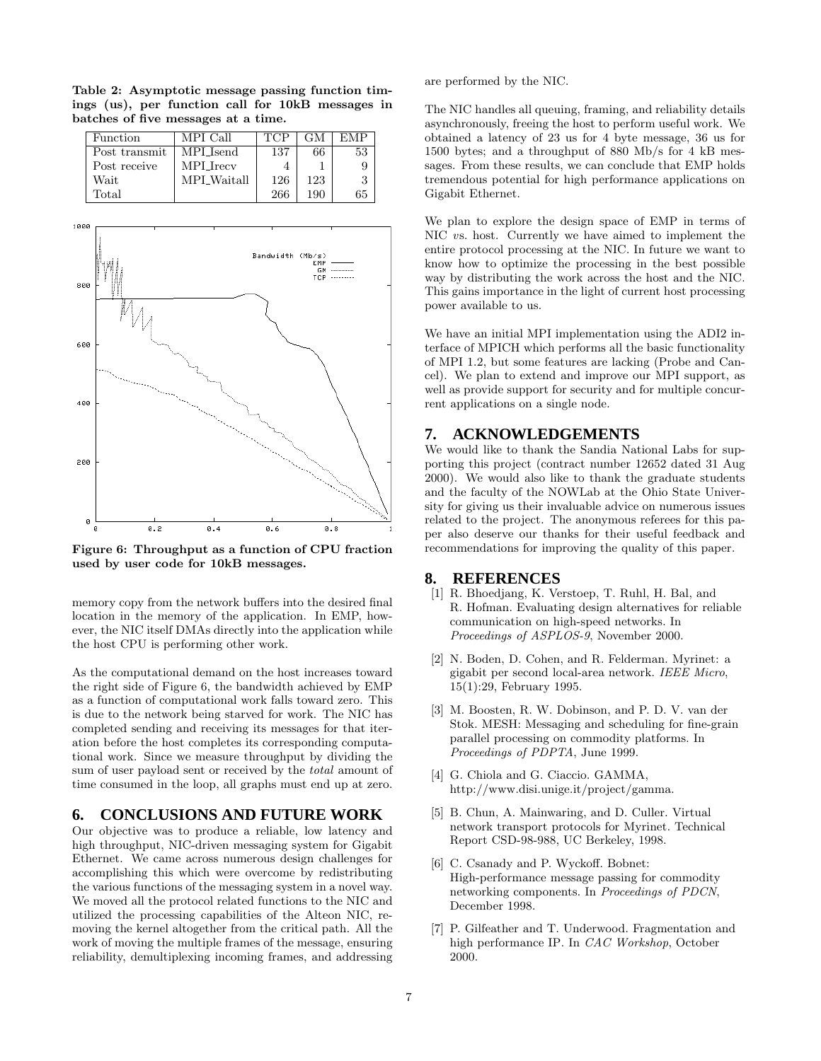Table 2: Asymptotic message passing function timings (us), per function call for 10kB messages in batches of five messages at a time.

| Function      | MPI Call    | <b>TCP</b> | GM  | EMP |
|---------------|-------------|------------|-----|-----|
| Post transmit | MPI Isend   | 137        | 66  | 53  |
| Post receive  | MPL Irecy   |            |     | 9   |
| Wait          | MPL Waitall | 126        | 123 | 3   |
| Total         |             | 266        | 190 |     |



Figure 6: Throughput as a function of CPU fraction used by user code for 10kB messages.

memory copy from the network buffers into the desired final location in the memory of the application. In EMP, however, the NIC itself DMAs directly into the application while the host CPU is performing other work.

As the computational demand on the host increases toward the right side of Figure 6, the bandwidth achieved by EMP as a function of computational work falls toward zero. This is due to the network being starved for work. The NIC has completed sending and receiving its messages for that iteration before the host completes its corresponding computational work. Since we measure throughput by dividing the sum of user payload sent or received by the total amount of time consumed in the loop, all graphs must end up at zero.

## **6. CONCLUSIONS AND FUTURE WORK**

Our objective was to produce a reliable, low latency and high throughput, NIC-driven messaging system for Gigabit Ethernet. We came across numerous design challenges for accomplishing this which were overcome by redistributing the various functions of the messaging system in a novel way. We moved all the protocol related functions to the NIC and utilized the processing capabilities of the Alteon NIC, removing the kernel altogether from the critical path. All the work of moving the multiple frames of the message, ensuring reliability, demultiplexing incoming frames, and addressing are performed by the NIC.

The NIC handles all queuing, framing, and reliability details asynchronously, freeing the host to perform useful work. We obtained a latency of 23 us for 4 byte message, 36 us for 1500 bytes; and a throughput of 880 Mb/s for 4 kB messages. From these results, we can conclude that EMP holds tremendous potential for high performance applications on Gigabit Ethernet.

We plan to explore the design space of EMP in terms of NIC vs. host. Currently we have aimed to implement the entire protocol processing at the NIC. In future we want to know how to optimize the processing in the best possible way by distributing the work across the host and the NIC. This gains importance in the light of current host processing power available to us.

We have an initial MPI implementation using the ADI2 interface of MPICH which performs all the basic functionality of MPI 1.2, but some features are lacking (Probe and Cancel). We plan to extend and improve our MPI support, as well as provide support for security and for multiple concurrent applications on a single node.

## **7. ACKNOWLEDGEMENTS**

We would like to thank the Sandia National Labs for supporting this project (contract number 12652 dated 31 Aug 2000). We would also like to thank the graduate students and the faculty of the NOWLab at the Ohio State University for giving us their invaluable advice on numerous issues related to the project. The anonymous referees for this paper also deserve our thanks for their useful feedback and recommendations for improving the quality of this paper.

## **8. REFERENCES**

- [1] R. Bhoedjang, K. Verstoep, T. Ruhl, H. Bal, and R. Hofman. Evaluating design alternatives for reliable communication on high-speed networks. In Proceedings of ASPLOS-9, November 2000.
- [2] N. Boden, D. Cohen, and R. Felderman. Myrinet: a gigabit per second local-area network. IEEE Micro, 15(1):29, February 1995.
- [3] M. Boosten, R. W. Dobinson, and P. D. V. van der Stok. MESH: Messaging and scheduling for fine-grain parallel processing on commodity platforms. In Proceedings of PDPTA, June 1999.
- [4] G. Chiola and G. Ciaccio. GAMMA, http://www.disi.unige.it/project/gamma.
- [5] B. Chun, A. Mainwaring, and D. Culler. Virtual network transport protocols for Myrinet. Technical Report CSD-98-988, UC Berkeley, 1998.
- [6] C. Csanady and P. Wyckoff. Bobnet: High-performance message passing for commodity networking components. In Proceedings of PDCN, December 1998.
- [7] P. Gilfeather and T. Underwood. Fragmentation and high performance IP. In CAC Workshop, October 2000.